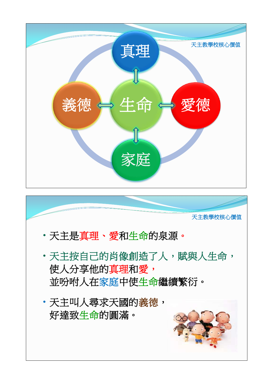

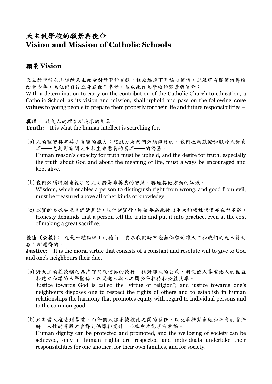## 天主教學校的願景與使命 **Vision and Mission of Catholic Schools**

## 願景 **Vision**

天主教學校矢志延續天主教會對教育的貢獻,故須維護下列核心價值,以及將有關價值傳授 給青少年,為他們日後立身處世作準備,並以此作為學校的願景與使命:

With a determination to carry on the contribution of the Catholic Church to education, a Catholic School, as its vision and mission, shall uphold and pass on the following **core values** to young people to prepare them properly for their life and future responsibilities –

真理: 這是人的理智所追求的對象。

**Truth:** It is what the human intellect is searching for.

- (a) 人的理智具有尋求真理的能力;這能力是我們必須維護的。我們也應鼓勵和激發人對真 理──尤其對有關天主和生命意義的真理──的渴慕。 Human reason's capacity for truth must be upheld, and the desire for truth, especially the truth about God and about the meaning of life, must always be encouraged and kept alive.
- (b) 我們必須特別重視那使人明辨是非善惡的智慧,勝過其他方面的知識。 Wisdom, which enables a person to distinguish right from wrong, and good from evil, must be treasured above all other kinds of knowledge.
- (c) 誠實的美德要求我們講真話,並付諸實行,即使要為此付出重大的犧牲代價亦在所不辭。 Honesty demands that a person tell the truth and put it into practice, even at the cost of making a great sacrifice.

義德 **(**公義**)**: 這是一種倫理上的德行,要求我們時常毫無保留地讓天主和我們的近人得到 各自所應得的。

**Justice:** It is the moral virtue that consists of a constant and resolute will to give to God and one's neighbours their due.

- (a) 對天主的義德稱之為持守宗教信仰的德行;相對鄰人的公義,則促使人尊重他人的權益 和建立和諧的人際關係,以促進人與人之間公平相待和公益共享。 Justice towards God is called the "virtue of religion"; and justice towards one's neighbours disposes one to respect the rights of others and to establish in human relationships the harmony that promotes equity with regard to individual persons and to the common good.
- (b) 只有當人權受到尊重,而每個人都承擔彼此之間的責任,以及承擔對家庭和社會的責任 時,人性的尊嚴才會得到保障和提升,而社會才能享有幸福。 Human dignity can be protected and promoted, and the wellbeing of society can be achieved, only if human rights are respected and individuals undertake their responsibilities for one another, for their own families, and for society.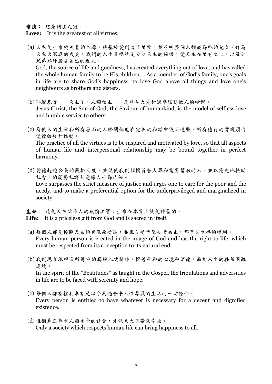愛德: 這是諸德之冠。

- **Love:** It is the greatest of all virtues.
- (a) 天主是生命與美善的泉源,祂基於愛創造了萬物,並召叫整個人類成為祂的兒女。作為 天主大家庭的成員,我們的人生目標就是分沾天主的福樂,愛天主在萬有之上,以及如 兄弟姊妹般愛自己的近人。 God, the source of life and goodness, has created everything out of love, and has called the whole human family to be His children. As a member of God's family, one's goals in life are to share God's happiness, to love God above all things and love one's neighbours as brothers and sisters.
- (b) 耶穌基督──天主子、人類救主──是無私大愛和謙卑服務他人的楷模。 Jesus Christ, the Son of God, the Saviour of humankind, is the model of selfless love and humble service to others.
- (c) 為使人的生命和所有層面的人際關係能在完美的和諧中彼此連繫,所有德行的實踐須由 愛德啟發和推動。 The practice of all the virtues is to be inspired and motivated by love, so that all aspects of human life and interpersonal relationship may be bound together in perfect harmony.
- (d) 愛德超越公義的嚴格尺度,並促使我們關懷貧苦大眾和需要幫助的人,並以優先地扶助 社會上的弱勢社群和邊緣人士為己任。 Love surpasses the strict measure of justice and urges one to care for the poor and the needy, and to make a preferential option for the underprivileged and marginalized in society.

生命: 這是天主賦予人的無價之寶;生命在本質上就是神聖的。 **Life:** It is a priceless gift from God and is sacred in itself.

- (a) 每個人都是按照天主的肖像而受造,並且自受孕至去世為止,都享有生存的權利。 Every human person is created in the image of God and has the right to life, which must be respected from its conception to its natural end.
- (b) 我們應秉承福音所傳授的真福八端精神,懷著平和的心境和望德,面對人生的種種困難 逆境。 In the spirit of the "Beatitudes" as taught in the Gospel, the tribulations and adversities in life are to be faced with serenity and hope.
- (c) 每個人都有權利享有足以令其過合乎人性尊嚴的生活的一切條件。 Every person is entitled to have whatever is necessary for a decent and dignified existence.
- (d) 唯獨真正尊重人類生命的社會,才能為大眾帶來幸福。 Only a society which respects human life can bring happiness to all.